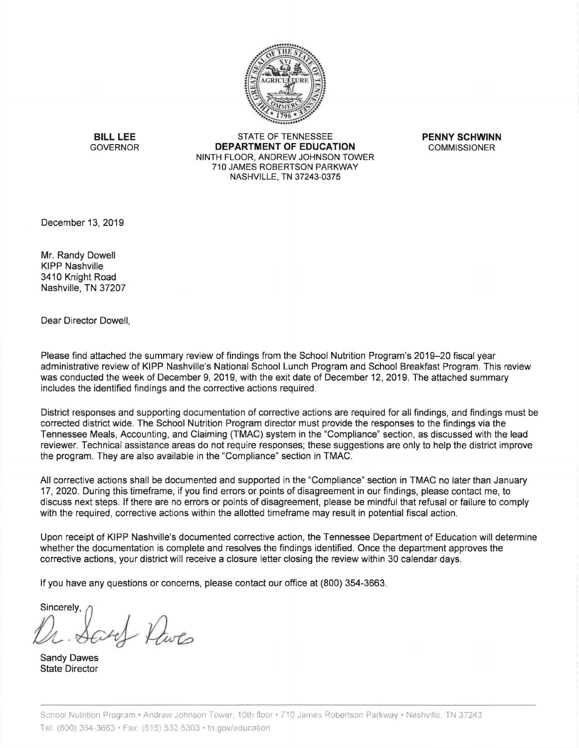

**BILL LEE** STATE OF TENNESSEE **PENNY SCHWINN**<br>GOVERNOR **DEPARTMENT OF EDUCATION** COMMISSIONER **DEPARTMENT OF EDUCATION** NINTH FLOOR, ANDREW JOHNSON TOWER 710 JAMES ROBERTSON PARKWAY NASHVILLE, TN 37243-0375

December 13, 2019

Mr. Randy Dowell KIPP Nashville 3410 Knight Road Nashville, TN 37207

Dear Director Dowell,

Please find attached the summary review of findings from the School Nutrition Program's 2019-20 fiscal year administrative review of KIPP Nashville's National School Lunch Program and School Breakfast Program. This review was conducted the week of December 9, 2019, with the exit date of December 12, 2019. The attached summary includes the identified findings and the corrective actions required.

District responses and supporting documentation of corrective actions are required for all findings, and findings must be corrected district wide. The School Nutrition Program director must provide the responses to the findings via the Tennessee Meals, Accounting, and Claiming (TMAC) system in the "Compliance" section, as discussed with the lead reviewer. Technical assistance areas do not require responses; these suggestions are only to help the district improve the program. They are also available in the "Compliance" section in TMAC.

All corrective actions shall be documented and supported in the "Compliance" section in TMAC no later than January 17, 2020. During this timeframe, if you find errors or points of disagreement in our findings, please contact me, to discuss next steps. If there are no errors or points of disagreement, please be mindful that refusal or failure to comply with the required, corrective actions within the allotted timeframe may result in potential fiscal action.

Upon receipt of KIPP Nashville's documented corrective action, the Tennessee Department of Education will determine whether the documentation is complete and resolves the findings identified. Once the department approves the corrective actions, your district will receive a closure letter closing the review within 30 calendar days.

If you have any questions or concerns, please contact our office at (800) 354-3663.

Sincerely

of Dwg

Sandy Dawes State Director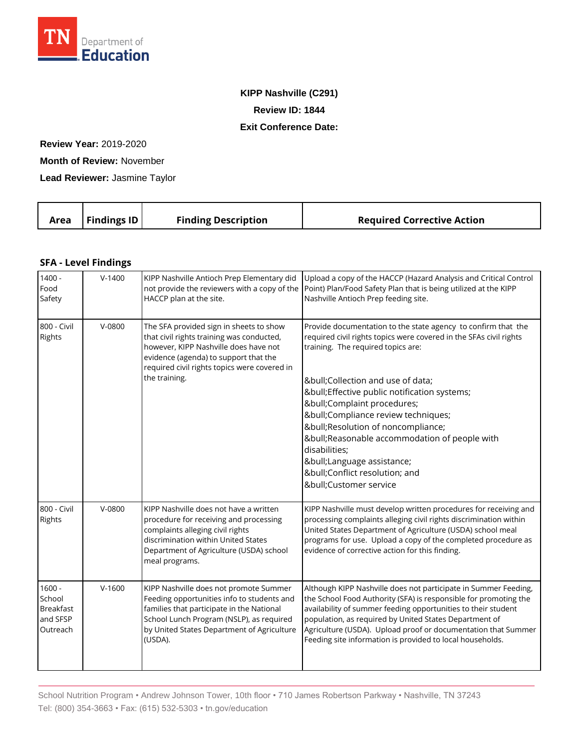

## **KIPP Nashville (C291) Review ID: 1844 Exit Conference Date:**

**Review Year:** 2019-2020

**Month of Review:** November

**Lead Reviewer:** Jasmine Taylor

|  | Area | Findings $ID$ | <b>Finding Description</b> | <b>Required Corrective Action</b> |
|--|------|---------------|----------------------------|-----------------------------------|
|--|------|---------------|----------------------------|-----------------------------------|

## **SFA - Level Findings**

| $1400 -$<br>Food<br>Safety                                     | $V-1400$ | KIPP Nashville Antioch Prep Elementary did<br>not provide the reviewers with a copy of the<br>HACCP plan at the site.                                                                                                                   | Upload a copy of the HACCP (Hazard Analysis and Critical Control<br>Point) Plan/Food Safety Plan that is being utilized at the KIPP<br>Nashville Antioch Prep feeding site.                                                                                                                                                                                                                                                                                                                 |
|----------------------------------------------------------------|----------|-----------------------------------------------------------------------------------------------------------------------------------------------------------------------------------------------------------------------------------------|---------------------------------------------------------------------------------------------------------------------------------------------------------------------------------------------------------------------------------------------------------------------------------------------------------------------------------------------------------------------------------------------------------------------------------------------------------------------------------------------|
| 800 - Civil<br>Rights                                          | $V-0800$ | The SFA provided sign in sheets to show<br>that civil rights training was conducted,<br>however, KIPP Nashville does have not<br>evidence (agenda) to support that the<br>required civil rights topics were covered in<br>the training. | Provide documentation to the state agency to confirm that the<br>required civil rights topics were covered in the SFAs civil rights<br>training. The required topics are:<br>•Collection and use of data;<br>•Effective public notification systems;<br>•Complaint procedures;<br>•Compliance review techniques;<br>• Resolution of noncompliance;<br>• Reasonable accommodation of people with<br>disabilities;<br>•Language assistance;<br>•Conflict resolution; and<br>•Customer service |
| 800 - Civil<br>Rights                                          | $V-0800$ | KIPP Nashville does not have a written<br>procedure for receiving and processing<br>complaints alleging civil rights<br>discrimination within United States<br>Department of Agriculture (USDA) school<br>meal programs.                | KIPP Nashville must develop written procedures for receiving and<br>processing complaints alleging civil rights discrimination within<br>United States Department of Agriculture (USDA) school meal<br>programs for use. Upload a copy of the completed procedure as<br>evidence of corrective action for this finding.                                                                                                                                                                     |
| $1600 -$<br>School<br><b>Breakfast</b><br>and SFSP<br>Outreach | $V-1600$ | KIPP Nashville does not promote Summer<br>Feeding opportunities info to students and<br>families that participate in the National<br>School Lunch Program (NSLP), as required<br>by United States Department of Agriculture<br>(USDA).  | Although KIPP Nashville does not participate in Summer Feeding,<br>the School Food Authority (SFA) is responsible for promoting the<br>availability of summer feeding opportunities to their student<br>population, as required by United States Department of<br>Agriculture (USDA). Upload proof or documentation that Summer<br>Feeding site information is provided to local households.                                                                                                |